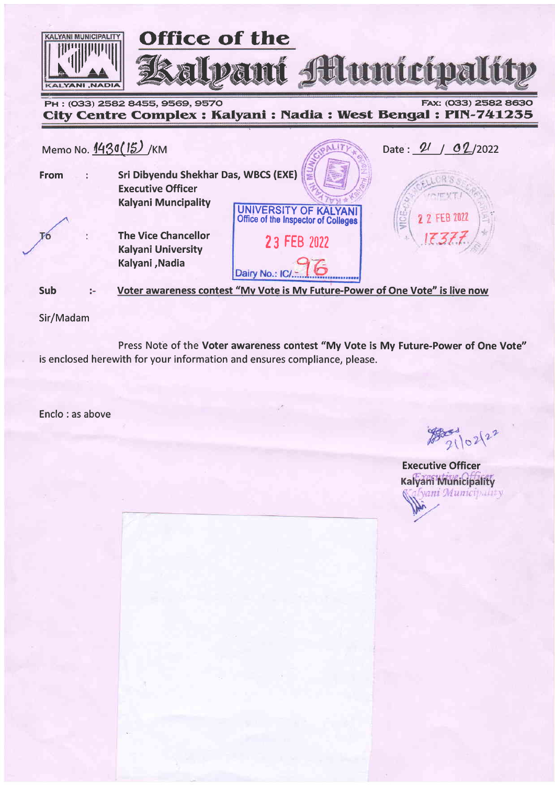

# City Centre Complex : Kalyani : Nadia : West Bengal : PIN-741235



Sir/Madam

Press Note of the Voter awareness contest "My Vote is My Future-Power of One Vote" is enclosed herewith for your information and ensures compliance, please.

Enclo : as above

 $282102122$ 

**Executive Officer** Kalyani Municipality :Г**уані Мипісі**рамі**у**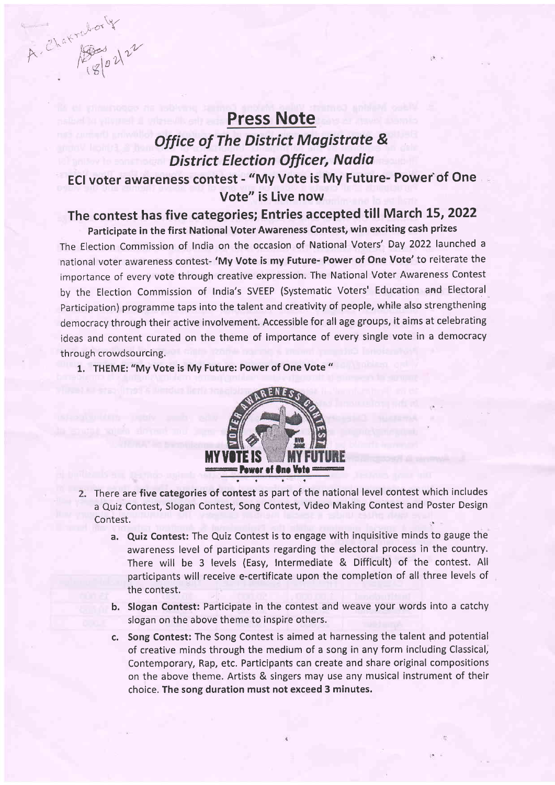# Press Note

# Office of The District Magistrote & District Election Officer, Nadiq ECI voter awareness contest - "My Vote is My Future- Powef of One Vote" is Live now

# The contest has five categories; Entries accepted till March 15, 2022 participate in the first National Voter Awareness Contest, win exciting cash prizes

The Election Commission of India on the occasion of National Voters' Day 2022 launched <sup>a</sup> national voter awareness contest- 'My Vote is my Future- Power of One Vote'to reiterate the importance of every vote through creative expression. The National Voter Awareness Contest by the Election Commission of India's SVEEP (Systematic Voters' Education and Electoral participation) programme taps into the talent and creativity of people, while also strengthening democracy through their active involvement. Accessible for all age groups, it aims at celebrating ideas and content curated on the theme of importance of every single vote in a democracy through crowdsourcing.

1. THEME: "My Vote is My Future: Power of One Vote "

 $k$  ,  $k$  -or  $\chi$ 

 $\alpha$ , Chat pass  $\lambda^{\nu}$ 



- 2. There are five categories of contest as part of the national level contest which includes a Quiz Contest, Slogan Contest, Song Contest, Video Making Contest and Poster Design Contest.
	- a. Quiz Contest: The Quiz Contest is to engage with inquisitive minds to gauge the awareness level of participants regarding the electoral process in the country. There will be 3 levels (Easy, Intermediate & Difficult) of the contest. All participants will receive e-certificate upon the completion of all three levels of the contest.
	- b. Slogan Contest: Participate in the contest and weave your words into a catchy slogan on the above theme to inspire others.
	- c. Song Contest: The Song Contest is aimed at harnessing the talent and potential of creative minds through the medium of a song in any form including Classical, Contemporary, Rap, etc. Participants can create and share original compositions on the above theme. Artists & singers may use any musical instrument of their choice. The song duration must not exceed 3 minutes.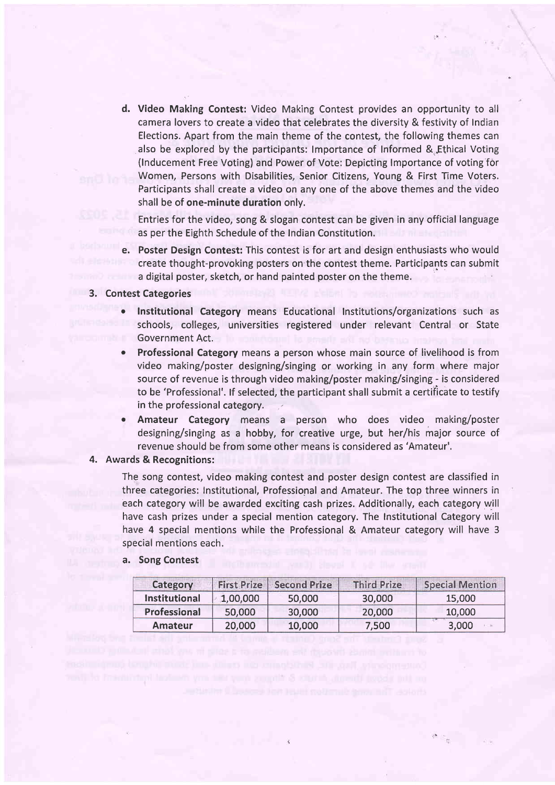d. Video Making Contest: Video Making Contest provides an opportunity to all camera lovers to create a video that celebrates the diversity & festivity of Indian Elections. Apart from the main theme of the contest, the following themes can also be explored by the participants: Importance of Informed & Ethical Voting (lnducement Free Voting) and Power of Vote: Depicting lmportance of voting for Women, Persons with Disabilities, Senior Citizens, Young & First Time Voters, Participants shall create a video on any one of the above themes and the video shall be of one-minute duration only,

Entries for the video, song & slogan contest can be given in any official language as per the Eighth Schedule of the Indian Constitution.

e. Poster Design Contest: This contest is for art and design enthusiasts who would create thought-provoking posters on the contest theme. Participants can submit a digital poster, sketch, or hand painted poster on the theme.

#### 3. Contest Categories

- Institutional Category means Educational Institutions/organizations such as schools, colleges, universities registered under relevant Central or State Government Act.
- Professional Category means a person whose main source of livelihood is from video making/poster designing/singing or working in any form where major source of revenue is through video making/poster making/singing - is considered to be 'Professional'. lf selected, the participant shall submit a certiflcate to testify in the professional category.
- . Amateur Category means a person who does video making/poster designing/singing as a hobby, for creative urge, but her/his major source of revenue should be from some other means is considered as 'Amateur'.

#### 4. Awards & Recognitions:

The song contest, video making contest and poster design contest are classified in three categories: Institutional, Professional and Amateur. The top three winners in each category will be awarded exciting cash prizes. Additionally, each category will have cash prizes under a special mention category. The Institutional Category will have 4 special mentions while the Professional & Amateur category will have <sup>3</sup> special mentions each.

a. Song Contest

| Category      | First Prize | <b>Second Prize</b> | <b>Third Prize</b> | <b>Special Mention</b> |
|---------------|-------------|---------------------|--------------------|------------------------|
| Institutional | 1,00,000    | 50,000              | 30,000             | 15,000                 |
| Professional  | 50,000      | 30,000              | 20,000             | 10,000                 |
| Amateur       | 20,000      | 10,000              | 7,500              | 3,000                  |

from the significant will be a state of the control of the control of the control of the control of the control of the control of the control of the control of the control of the control of the control of the control of th